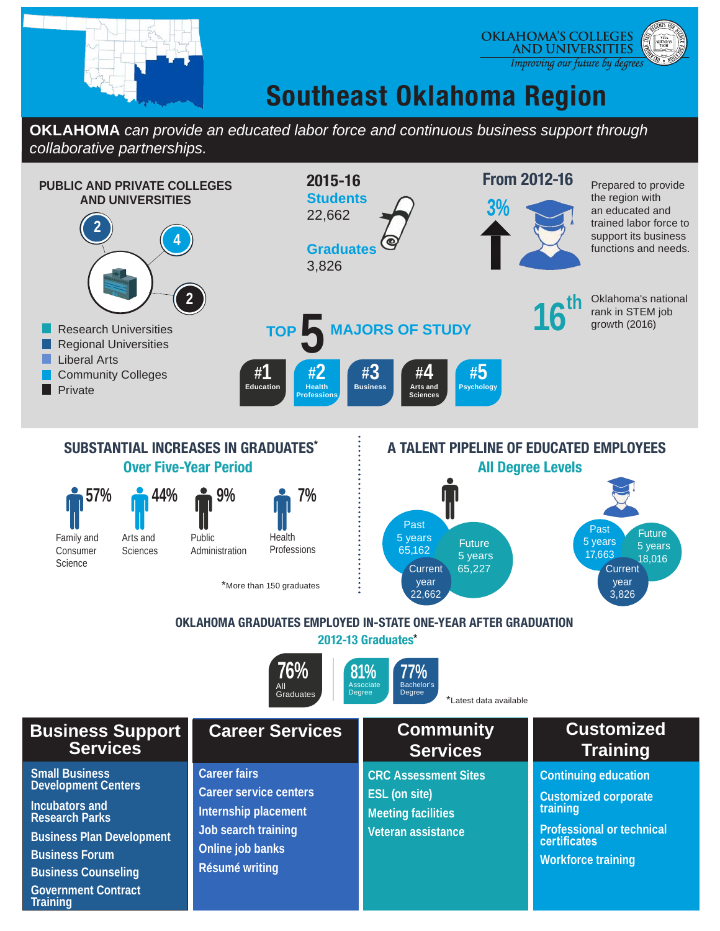

**Training**

## **Southeast Oklahoma Region**

**OKLAHOMA'S COLLEGES AND UNIVERSITIES** Improving our future by degrees

**OKLAHOMA** *can provide an educated labor force and continuous business support through collaborative partnerships.*